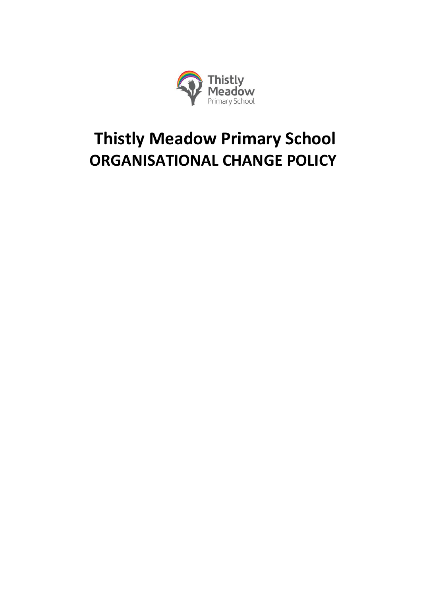

# **Thistly Meadow Primary School ORGANISATIONAL CHANGE POLICY**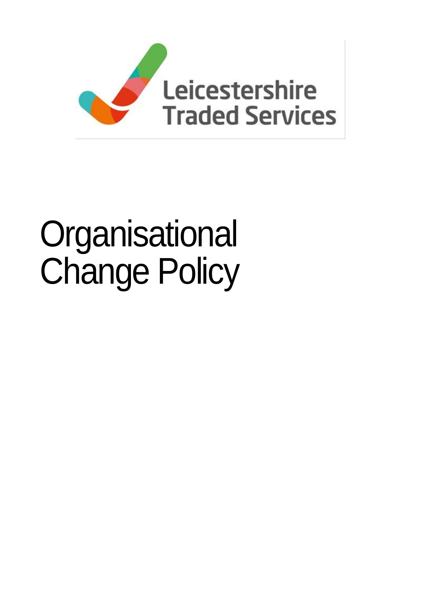

# **Organisational** Change Policy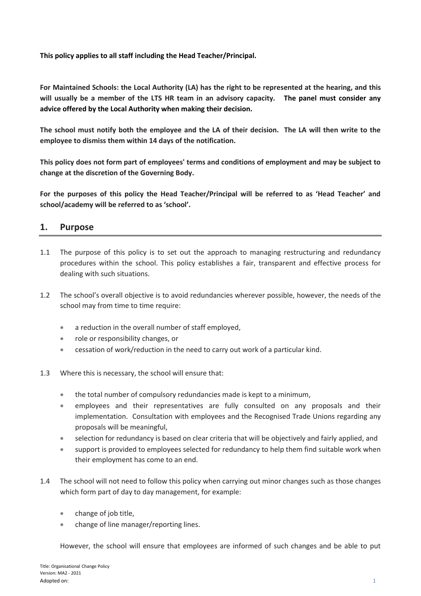**This policy applies to all staff including the Head Teacher/Principal.**

**For Maintained Schools: the Local Authority (LA) has the right to be represented at the hearing, and this will usually be a member of the LTS HR team in an advisory capacity. The panel must consider any advice offered by the Local Authority when making their decision.** 

**The school must notify both the employee and the LA of their decision. The LA will then write to the employee to dismiss them within 14 days of the notification.**

**This policy does not form part of employees' terms and conditions of employment and may be subject to change at the discretion of the Governing Body.** 

**For the purposes of this policy the Head Teacher/Principal will be referred to as 'Head Teacher' and school/academy will be referred to as 'school'.**

# **1. Purpose**

- 1.1 The purpose of this policy is to set out the approach to managing restructuring and redundancy procedures within the school. This policy establishes a fair, transparent and effective process for dealing with such situations.
- 1.2 The school's overall objective is to avoid redundancies wherever possible, however, the needs of the school may from time to time require:
	- a reduction in the overall number of staff employed,
	- role or responsibility changes, or
	- cessation of work/reduction in the need to carry out work of a particular kind.
- 1.3 Where this is necessary, the school will ensure that:
	- the total number of compulsory redundancies made is kept to a minimum,
	- employees and their representatives are fully consulted on any proposals and their implementation. Consultation with employees and the Recognised Trade Unions regarding any proposals will be meaningful,
	- selection for redundancy is based on clear criteria that will be objectively and fairly applied, and
	- support is provided to employees selected for redundancy to help them find suitable work when their employment has come to an end.
- 1.4 The school will not need to follow this policy when carrying out minor changes such as those changes which form part of day to day management, for example:
	- change of job title,
	- change of line manager/reporting lines.

However, the school will ensure that employees are informed of such changes and be able to put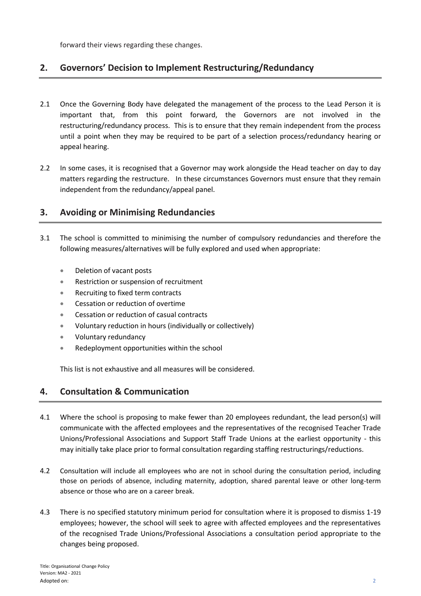forward their views regarding these changes.

# **2. Governors' Decision to Implement Restructuring/Redundancy**

- 2.1 Once the Governing Body have delegated the management of the process to the Lead Person it is important that, from this point forward, the Governors are not involved in the restructuring/redundancy process. This is to ensure that they remain independent from the process until a point when they may be required to be part of a selection process/redundancy hearing or appeal hearing.
- 2.2 In some cases, it is recognised that a Governor may work alongside the Head teacher on day to day matters regarding the restructure. In these circumstances Governors must ensure that they remain independent from the redundancy/appeal panel.

# **3. Avoiding or Minimising Redundancies**

- 3.1 The school is committed to minimising the number of compulsory redundancies and therefore the following measures/alternatives will be fully explored and used when appropriate:
	- Deletion of vacant posts
	- Restriction or suspension of recruitment
	- Recruiting to fixed term contracts
	- Cessation or reduction of overtime
	- Cessation or reduction of casual contracts
	- Voluntary reduction in hours (individually or collectively)
	- Voluntary redundancy
	- Redeployment opportunities within the school

This list is not exhaustive and all measures will be considered.

# **4. Consultation & Communication**

- 4.1 Where the school is proposing to make fewer than 20 employees redundant, the lead person(s) will communicate with the affected employees and the representatives of the recognised Teacher Trade Unions/Professional Associations and Support Staff Trade Unions at the earliest opportunity - this may initially take place prior to formal consultation regarding staffing restructurings/reductions.
- 4.2 Consultation will include all employees who are not in school during the consultation period, including those on periods of absence, including maternity, adoption, shared parental leave or other long-term absence or those who are on a career break.
- 4.3 There is no specified statutory minimum period for consultation where it is proposed to dismiss 1-19 employees; however, the school will seek to agree with affected employees and the representatives of the recognised Trade Unions/Professional Associations a consultation period appropriate to the changes being proposed.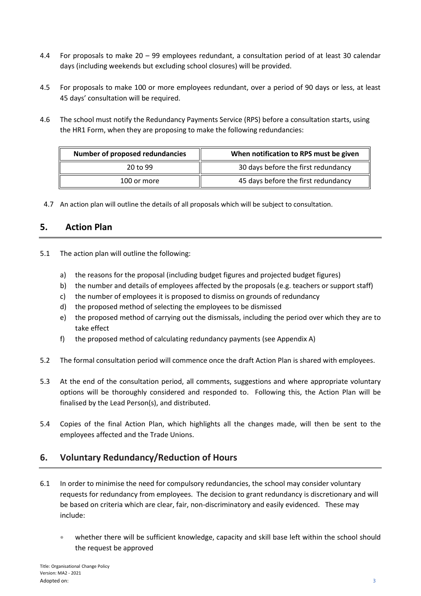- 4.4 For proposals to make 20 99 employees redundant, a consultation period of at least 30 calendar days (including weekends but excluding school closures) will be provided.
- 4.5 For proposals to make 100 or more employees redundant, over a period of 90 days or less, at least 45 days' consultation will be required.
- 4.6 The school must notify the Redundancy Payments Service (RPS) before a consultation starts, using the HR1 Form, when they are proposing to make the following redundancies:

| Number of proposed redundancies | When notification to RPS must be given |  |  |  |  |  |  |
|---------------------------------|----------------------------------------|--|--|--|--|--|--|
| 20 to 99                        | 30 days before the first redundancy    |  |  |  |  |  |  |
| 100 or more                     | 45 days before the first redundancy    |  |  |  |  |  |  |

4.7 An action plan will outline the details of all proposals which will be subject to consultation.

# **5. Action Plan**

- 5.1 The action plan will outline the following:
	- a) the reasons for the proposal (including budget figures and projected budget figures)
	- b) the number and details of employees affected by the proposals (e.g. teachers or support staff)
	- c) the number of employees it is proposed to dismiss on grounds of redundancy
	- d) the proposed method of selecting the employees to be dismissed
	- e) the proposed method of carrying out the dismissals, including the period over which they are to take effect
	- f) the proposed method of calculating redundancy payments (see Appendix A)
- 5.2 The formal consultation period will commence once the draft Action Plan is shared with employees.
- 5.3 At the end of the consultation period, all comments, suggestions and where appropriate voluntary options will be thoroughly considered and responded to. Following this, the Action Plan will be finalised by the Lead Person(s), and distributed.
- 5.4 Copies of the final Action Plan, which highlights all the changes made, will then be sent to the employees affected and the Trade Unions.

# **6. Voluntary Redundancy/Reduction of Hours**

- 6.1 In order to minimise the need for compulsory redundancies, the school may consider voluntary requests for redundancy from employees. The decision to grant redundancy is discretionary and will be based on criteria which are clear, fair, non-discriminatory and easily evidenced. These may include:
	- whether there will be sufficient knowledge, capacity and skill base left within the school should the request be approved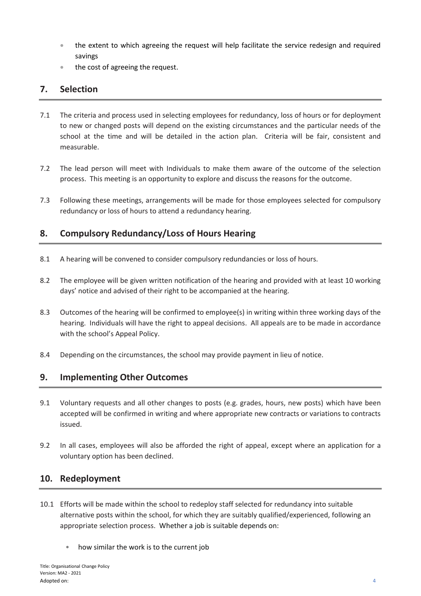- the extent to which agreeing the request will help facilitate the service redesign and required savings
- the cost of agreeing the request.

# **7. Selection**

- 7.1 The criteria and process used in selecting employees for redundancy, loss of hours or for deployment to new or changed posts will depend on the existing circumstances and the particular needs of the school at the time and will be detailed in the action plan. Criteria will be fair, consistent and measurable.
- 7.2 The lead person will meet with Individuals to make them aware of the outcome of the selection process. This meeting is an opportunity to explore and discuss the reasons for the outcome.
- 7.3 Following these meetings, arrangements will be made for those employees selected for compulsory redundancy or loss of hours to attend a redundancy hearing.

# **8. Compulsory Redundancy/Loss of Hours Hearing**

- 8.1 A hearing will be convened to consider compulsory redundancies or loss of hours.
- 8.2 The employee will be given written notification of the hearing and provided with at least 10 working days' notice and advised of their right to be accompanied at the hearing.
- 8.3 Outcomes of the hearing will be confirmed to employee(s) in writing within three working days of the hearing. Individuals will have the right to appeal decisions. All appeals are to be made in accordance with the school's Appeal Policy.
- 8.4 Depending on the circumstances, the school may provide payment in lieu of notice.

# **9. Implementing Other Outcomes**

- 9.1 Voluntary requests and all other changes to posts (e.g. grades, hours, new posts) which have been accepted will be confirmed in writing and where appropriate new contracts or variations to contracts issued.
- 9.2 In all cases, employees will also be afforded the right of appeal, except where an application for a voluntary option has been declined.

# **10. Redeployment**

- 10.1 Efforts will be made within the school to redeploy staff selected for redundancy into suitable alternative posts within the school, for which they are suitably qualified/experienced, following an appropriate selection process. Whether a job is suitable depends on:
	- how similar the work is to the current job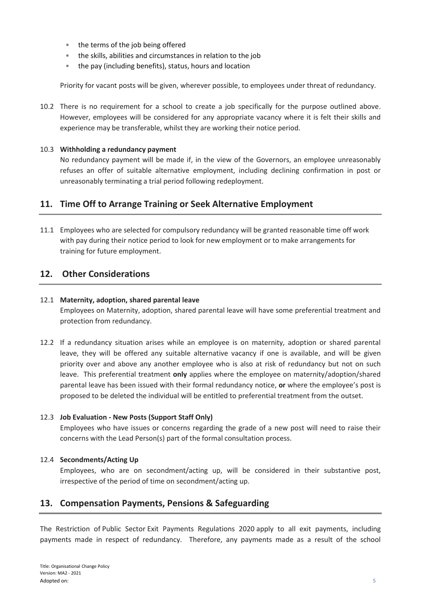- the terms of the job being offered
- the skills, abilities and circumstances in relation to the job
- the pay (including benefits), status, hours and location

Priority for vacant posts will be given, wherever possible, to employees under threat of redundancy.

10.2 There is no requirement for a school to create a job specifically for the purpose outlined above. However, employees will be considered for any appropriate vacancy where it is felt their skills and experience may be transferable, whilst they are working their notice period.

#### 10.3 **Withholding a redundancy payment**

No redundancy payment will be made if, in the view of the Governors, an employee unreasonably refuses an offer of suitable alternative employment, including declining confirmation in post or unreasonably terminating a trial period following redeployment.

# **11. Time Off to Arrange Training or Seek Alternative Employment**

11.1 Employees who are selected for compulsory redundancy will be granted reasonable time off work with pay during their notice period to look for new employment or to make arrangements for training for future employment.

# **12. Other Considerations**

#### 12.1 **Maternity, adoption, shared parental leave**

Employees on Maternity, adoption, shared parental leave will have some preferential treatment and protection from redundancy.

12.2 If a redundancy situation arises while an employee is on maternity, adoption or shared parental leave, they will be offered any suitable alternative vacancy if one is available, and will be given priority over and above any another employee who is also at risk of redundancy but not on such leave. This preferential treatment **only** applies where the employee on maternity/adoption/shared parental leave has been issued with their formal redundancy notice, **or** where the employee's post is proposed to be deleted the individual will be entitled to preferential treatment from the outset.

#### 12.3 **Job Evaluation - New Posts (Support Staff Only)**

Employees who have issues or concerns regarding the grade of a new post will need to raise their concerns with the Lead Person(s) part of the formal consultation process.

#### 12.4 **Secondments/Acting Up**

Employees, who are on secondment/acting up, will be considered in their substantive post, irrespective of the period of time on secondment/acting up.

# **13. Compensation Payments, Pensions & Safeguarding**

The Restriction of Public Sector Exit Payments Regulations 2020 apply to all exit payments, including payments made in respect of redundancy. Therefore, any payments made as a result of the school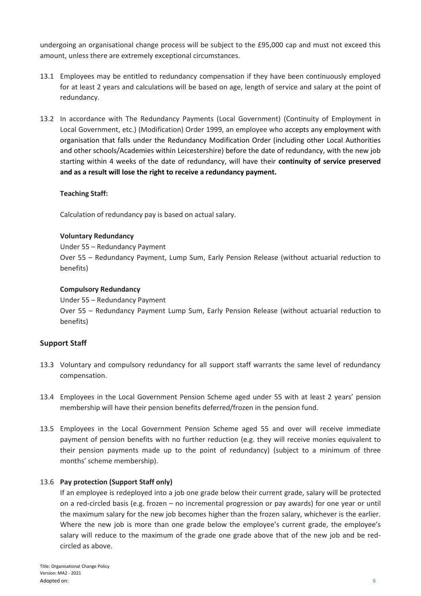undergoing an organisational change process will be subject to the £95,000 cap and must not exceed this amount, unless there are extremely exceptional circumstances.

- 13.1 Employees may be entitled to redundancy compensation if they have been continuously employed for at least 2 years and calculations will be based on age, length of service and salary at the point of redundancy.
- 13.2 In accordance with The Redundancy Payments (Local Government) (Continuity of Employment in Local Government, etc.) (Modification) Order 1999, an employee who accepts any employment with organisation that falls under the Redundancy Modification Order (including other Local Authorities and other schools/Academies within Leicestershire) before the date of redundancy, with the new job starting within 4 weeks of the date of redundancy, will have their **continuity of service preserved and as a result will lose the right to receive a redundancy payment.**

#### **Teaching Staff:**

Calculation of redundancy pay is based on actual salary.

#### **Voluntary Redundancy**

Under 55 – Redundancy Payment

Over 55 – Redundancy Payment, Lump Sum, Early Pension Release (without actuarial reduction to benefits)

#### **Compulsory Redundancy**

Under 55 – Redundancy Payment

Over 55 – Redundancy Payment Lump Sum, Early Pension Release (without actuarial reduction to benefits)

#### **Support Staff**

- 13.3 Voluntary and compulsory redundancy for all support staff warrants the same level of redundancy compensation.
- 13.4 Employees in the Local Government Pension Scheme aged under 55 with at least 2 years' pension membership will have their pension benefits deferred/frozen in the pension fund.
- 13.5 Employees in the Local Government Pension Scheme aged 55 and over will receive immediate payment of pension benefits with no further reduction (e.g. they will receive monies equivalent to their pension payments made up to the point of redundancy) (subject to a minimum of three months' scheme membership).

#### 13.6 **Pay protection (Support Staff only)**

If an employee is redeployed into a job one grade below their current grade, salary will be protected on a red-circled basis (e.g. frozen – no incremental progression or pay awards) for one year or until the maximum salary for the new job becomes higher than the frozen salary, whichever is the earlier. Where the new job is more than one grade below the employee's current grade, the employee's salary will reduce to the maximum of the grade one grade above that of the new job and be redcircled as above.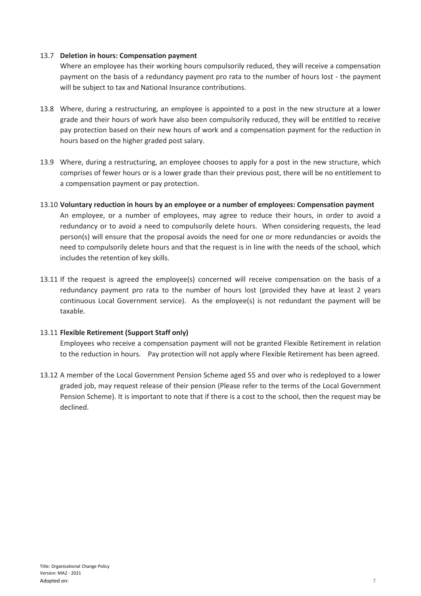#### 13.7 **Deletion in hours: Compensation payment**

Where an employee has their working hours compulsorily reduced, they will receive a compensation payment on the basis of a redundancy payment pro rata to the number of hours lost - the payment will be subject to tax and National Insurance contributions.

- 13.8 Where, during a restructuring, an employee is appointed to a post in the new structure at a lower grade and their hours of work have also been compulsorily reduced, they will be entitled to receive pay protection based on their new hours of work and a compensation payment for the reduction in hours based on the higher graded post salary.
- 13.9 Where, during a restructuring, an employee chooses to apply for a post in the new structure, which comprises of fewer hours or is a lower grade than their previous post, there will be no entitlement to a compensation payment or pay protection.
- 13.10 **Voluntary reduction in hours by an employee or a number of employees: Compensation payment** An employee, or a number of employees, may agree to reduce their hours, in order to avoid a redundancy or to avoid a need to compulsorily delete hours. When considering requests, the lead person(s) will ensure that the proposal avoids the need for one or more redundancies or avoids the need to compulsorily delete hours and that the request is in line with the needs of the school, which includes the retention of key skills.
- 13.11 If the request is agreed the employee(s) concerned will receive compensation on the basis of a redundancy payment pro rata to the number of hours lost (provided they have at least 2 years continuous Local Government service). As the employee(s) is not redundant the payment will be taxable.

#### 13.11 **Flexible Retirement (Support Staff only)**

Employees who receive a compensation payment will not be granted Flexible Retirement in relation to the reduction in hours. Pay protection will not apply where Flexible Retirement has been agreed.

13.12 A member of the Local Government Pension Scheme aged 55 and over who is redeployed to a lower graded job, may request release of their pension (Please refer to the terms of the Local Government Pension Scheme). It is important to note that if there is a cost to the school, then the request may be declined.